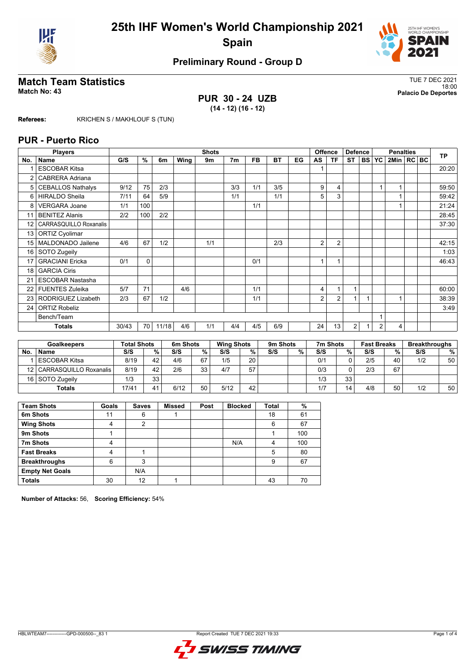



# **Match Team Statistics** TUE 7 DEC 2021

**PUR 30 - 24 UZB (14 - 12) (16 - 12)**

18:00 **Match No: 43 Palacio De Deportes**

**Referees:** KRICHEN S / MAKHLOUF S (TUN)

### **PUR - Puerto Rico**

|                 | <b>Players</b>           |       | <b>Shots</b> |       |      |     |                |           |           |    | <b>Offence</b> | <b>Defence</b> |           | <b>Penalties</b> |                |              |  | <b>TP</b> |       |
|-----------------|--------------------------|-------|--------------|-------|------|-----|----------------|-----------|-----------|----|----------------|----------------|-----------|------------------|----------------|--------------|--|-----------|-------|
| No.             | Name                     | G/S   | %            | 6m    | Wing | 9m  | 7 <sub>m</sub> | <b>FB</b> | <b>BT</b> | EG | AS             | <b>TF</b>      | <b>ST</b> | <b>BSI</b>       | <b>YC</b>      | 2Min   RC BC |  |           |       |
|                 | <b>ESCOBAR Kitsa</b>     |       |              |       |      |     |                |           |           |    |                |                |           |                  |                |              |  |           | 20:20 |
| $\overline{2}$  | CABRERA Adriana          |       |              |       |      |     |                |           |           |    |                |                |           |                  |                |              |  |           |       |
| 5               | <b>CEBALLOS Nathalys</b> | 9/12  | 75           | 2/3   |      |     | 3/3            | 1/1       | 3/5       |    | 9              | 4              |           |                  |                |              |  |           | 59:50 |
| 6               | <b>HIRALDO Sheila</b>    | 7/11  | 64           | 5/9   |      |     | 1/1            |           | 1/1       |    | 5              | 3              |           |                  |                |              |  |           | 59:42 |
| 8               | <b>VERGARA Joane</b>     | 1/1   | 100          |       |      |     |                | 1/1       |           |    |                |                |           |                  |                |              |  |           | 21:24 |
| 11              | <b>BENITEZ Alanis</b>    | 2/2   | 100          | 2/2   |      |     |                |           |           |    |                |                |           |                  |                |              |  |           | 28:45 |
| 12 <sup>2</sup> | CARRASQUILLO Roxanalis   |       |              |       |      |     |                |           |           |    |                |                |           |                  |                |              |  |           | 37:30 |
| 13              | <b>ORTIZ Cyolimar</b>    |       |              |       |      |     |                |           |           |    |                |                |           |                  |                |              |  |           |       |
| 15              | MALDONADO Jailene        | 4/6   | 67           | 1/2   |      | 1/1 |                |           | 2/3       |    | $\overline{2}$ | 2              |           |                  |                |              |  |           | 42:15 |
| 16              | SOTO Zugeily             |       |              |       |      |     |                |           |           |    |                |                |           |                  |                |              |  |           | 1:03  |
| 17              | <b>GRACIANI</b> Ericka   | 0/1   | $\Omega$     |       |      |     |                | 0/1       |           |    | 1              | $\overline{ }$ |           |                  |                |              |  |           | 46:43 |
| 18              | <b>GARCIA Ciris</b>      |       |              |       |      |     |                |           |           |    |                |                |           |                  |                |              |  |           |       |
| 21              | <b>ESCOBAR Nastasha</b>  |       |              |       |      |     |                |           |           |    |                |                |           |                  |                |              |  |           |       |
| 22              | <b>FUENTES Zuleika</b>   | 5/7   | 71           |       | 4/6  |     |                | 1/1       |           |    | 4              | 1              | 1         |                  |                |              |  |           | 60:00 |
| 23              | RODRIGUEZ Lizabeth       | 2/3   | 67           | 1/2   |      |     |                | 1/1       |           |    | 2              | 2              |           |                  |                |              |  |           | 38:39 |
| 24              | <b>ORTIZ Robeliz</b>     |       |              |       |      |     |                |           |           |    |                |                |           |                  |                |              |  |           | 3:49  |
|                 | Bench/Team               |       |              |       |      |     |                |           |           |    |                |                |           |                  |                |              |  |           |       |
|                 | <b>Totals</b>            | 30/43 | 70           | 11/18 | 4/6  | 1/1 | 4/4            | 4/5       | 6/9       |    | 24             | 13             | 2         |                  | $\overline{2}$ | 4            |  |           |       |

| <b>Goalkeepers</b> |                             | <b>Total Shots</b> |                 | 6m Shots |      | <b>Wing Shots</b> |    | 9m Shots |   | 7m Shots |    | <b>Fast Breaks</b> |    | <b>Breakthroughs</b> |    |
|--------------------|-----------------------------|--------------------|-----------------|----------|------|-------------------|----|----------|---|----------|----|--------------------|----|----------------------|----|
| No                 | <b>Name</b>                 | S/S                | %               | S/S      | $\%$ | S/S               | %  | S/S      | % | S/S      | %  | S/S                | %  | S/S                  | %  |
|                    | <b>ESCOBAR Kitsa</b>        | 8/19               | 42              | 4/6      | 67   | 1/5               | 20 |          |   | 0/1      |    | 2/5                | 40 | 1/2                  | 50 |
|                    | 12   CARRASQUILLO Roxanalis | 8/19               | 42              | 2/6      | 33   | 4/7               | 57 |          |   | 0/3      |    | 2/3                | 67 |                      |    |
|                    | 16 SOTO Zugeily             | 1/3                | 33 <sub>1</sub> |          |      |                   |    |          |   | 1/3      | 33 |                    |    |                      |    |
|                    | <b>Totals</b>               | 17/4 <sup>1</sup>  |                 | 6/12     | 50   | 5/12              | 42 |          |   | 1/7      | 14 | 4/8                | 50 | 1/2                  | 50 |

| <b>Team Shots</b>      | Goals | <b>Saves</b> | <b>Missed</b> | Post | <b>Blocked</b> | <b>Total</b> | %   |
|------------------------|-------|--------------|---------------|------|----------------|--------------|-----|
| 6m Shots               | 11    | 6            |               |      |                | 18           | 61  |
| <b>Wing Shots</b>      | 4     | 2            |               |      |                | 6            | 67  |
| 9m Shots               |       |              |               |      |                |              | 100 |
| 7m Shots               | 4     |              |               |      | N/A            | 4            | 100 |
| <b>Fast Breaks</b>     | 4     |              |               |      |                | 5            | 80  |
| <b>Breakthroughs</b>   | 6     | 3            |               |      |                | 9            | 67  |
| <b>Empty Net Goals</b> |       | N/A          |               |      |                |              |     |
| <b>Totals</b>          | 30    | 12           |               |      |                | 43           | 70  |

**Number of Attacks:** 56, **Scoring Efficiency:** 54%

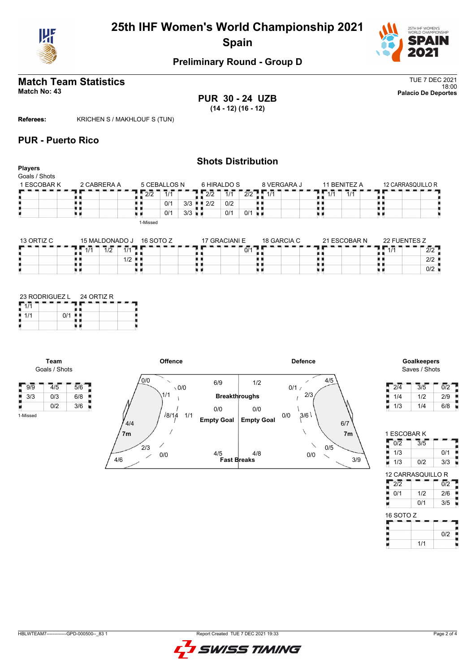



# **Match Team Statistics** TUE 7 DEC 2021

18:00 **Match No: 43 Palacio De Deportes PUR 30 - 24 UZB (14 - 12) (16 - 12)**

**Referees:** KRICHEN S / MAKHLOUF S (TUN)

## **PUR - Puerto Rico**

#### **Shots Distribution Players** Goals / Shots 1 ESCOBAR K 2 CABRERA A 5 CEBALLOS N 6 HIRALDO S 8 VERGARA J 11 BENITEZ A 12 CARRASQUILLO R  $\frac{1}{4}$   $\frac{1}{1/4}$   $\frac{1}{1/4}$   $\frac{1}{1/4}$  $\frac{1}{2}$   $\frac{1}{2}$   $\frac{1}{2}$   $\frac{1}{2}$   $\frac{1}{1}$   $\frac{1}{1}$  $2/2$   $\sqrt{1/1}$  $12/2$  1/1 2/2 89 89, H) Į. . . ă. ă,  $| 0/1 | 3/3$  $2/2$  0/2  $0/1$  0/1 u p 原理  $| 0/1 | 3/3$ u a u d 1-Missed

| 13 ORTIZ C | 15 MALDONADO J             | 16 SOTO Z | 17 GRACIANI E | 18 GARCIA C | 21 ESCOBAR N | 22 FUENTES Z         |
|------------|----------------------------|-----------|---------------|-------------|--------------|----------------------|
|            | 1/2<br>111<br>$\mathbf{L}$ |           | 0/1           |             |              | 414<br>רור<br>21 Z   |
|            | 1/2 ■ ■                    |           |               |             |              | $2/2$ $\blacksquare$ |
|            |                            |           |               |             |              | 0/2                  |

|     |     | 23 RODRIGUEZ L 24 ORTIZ R |  |  |  |  |  |  |  |
|-----|-----|---------------------------|--|--|--|--|--|--|--|
|     |     |                           |  |  |  |  |  |  |  |
| 1/1 | 0/1 |                           |  |  |  |  |  |  |  |
|     |     |                           |  |  |  |  |  |  |  |

**Team** Goals / Shots

1-Missed

Н



# Saves / Shots

| 2/4 | 3/5 | 0/2 |
|-----|-----|-----|
| 1/4 | 1/2 | 2/9 |
| 1/3 | 1/4 | 6/8 |

1 ESCOBAR K  $\frac{1}{2}$  0/2  $\frac{1}{3/5}$ 

| 1/3                      |     | 0/1              |  |  |  |  |  |  |  |  |  |  |
|--------------------------|-----|------------------|--|--|--|--|--|--|--|--|--|--|
| 1/3                      | 0/2 | 3/3              |  |  |  |  |  |  |  |  |  |  |
| <b>12 CARRASQUILLO R</b> |     |                  |  |  |  |  |  |  |  |  |  |  |
| $\overline{2/2}$         |     | $\overline{0/2}$ |  |  |  |  |  |  |  |  |  |  |
| 0/1                      | 1/2 | 2/6              |  |  |  |  |  |  |  |  |  |  |
| p                        | 0/1 | 3/5              |  |  |  |  |  |  |  |  |  |  |
| 16 SOTO Z                |     |                  |  |  |  |  |  |  |  |  |  |  |
|                          |     |                  |  |  |  |  |  |  |  |  |  |  |

| 16 SOTO Z |     |     |
|-----------|-----|-----|
|           |     |     |
|           |     | 0/2 |
|           | 1/1 |     |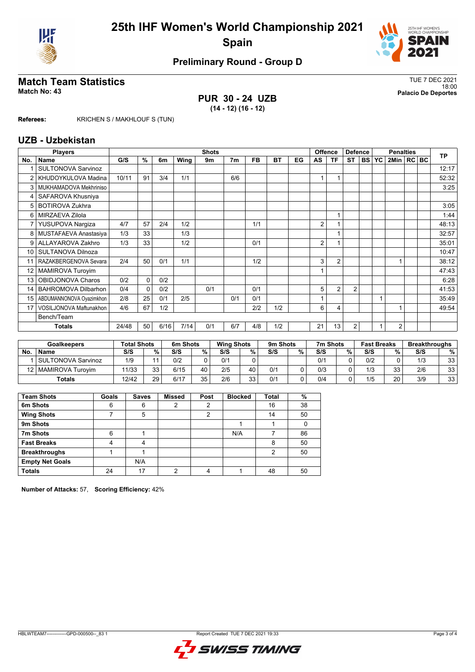



# **Match Team Statistics** TUE 7 DEC 2021

**PUR 30 - 24 UZB (14 - 12) (16 - 12)**

18:00 **Match No: 43 Palacio De Deportes**

**Referees:** KRICHEN S / MAKHLOUF S (TUN)

### **UZB - Uzbekistan**

|                 | <b>Players</b>             |       | <b>Shots</b> |      |      |     |                |     |           |    |    | <b>Offence</b> | <b>Defence</b> |           | <b>Penalties</b> |                |  |  | <b>TP</b> |
|-----------------|----------------------------|-------|--------------|------|------|-----|----------------|-----|-----------|----|----|----------------|----------------|-----------|------------------|----------------|--|--|-----------|
| No.             | Name                       | G/S   | %            | 6m   | Wing | 9m  | 7 <sub>m</sub> | FB  | <b>BT</b> | EG | AS | ΤF             | <b>ST</b>      | <b>BS</b> | YC               | 2Min   RC BC   |  |  |           |
|                 | <b>SULTONOVA Sarvinoz</b>  |       |              |      |      |     |                |     |           |    |    |                |                |           |                  |                |  |  | 12:17     |
| $\overline{2}$  | KHUDOYKULOVA Madina        | 10/11 | 91           | 3/4  | 1/1  |     | 6/6            |     |           |    |    |                |                |           |                  |                |  |  | 52:32     |
| 3               | MUKHAMADOVA Mekhriniso     |       |              |      |      |     |                |     |           |    |    |                |                |           |                  |                |  |  | 3:25      |
| 4               | SAFAROVA Khusniya          |       |              |      |      |     |                |     |           |    |    |                |                |           |                  |                |  |  |           |
| 5               | <b>BOTIROVA Zukhra</b>     |       |              |      |      |     |                |     |           |    |    |                |                |           |                  |                |  |  | 3:05      |
| 6               | MIRZAEVA Zilola            |       |              |      |      |     |                |     |           |    |    |                |                |           |                  |                |  |  | 1:44      |
| 7               | YUSUPOVA Nargiza           | 4/7   | 57           | 2/4  | 1/2  |     |                | 1/1 |           |    | 2  |                |                |           |                  |                |  |  | 48:13     |
| 8               | MUSTAFAEVA Anastasiya      | 1/3   | 33           |      | 1/3  |     |                |     |           |    |    |                |                |           |                  |                |  |  | 32:57     |
| 9               | ALLAYAROVA Zakhro          | 1/3   | 33           |      | 1/2  |     |                | 0/1 |           |    | 2  |                |                |           |                  |                |  |  | 35:01     |
| 10              | SULTANOVA Dilnoza          |       |              |      |      |     |                |     |           |    |    |                |                |           |                  |                |  |  | 10:47     |
|                 | RAZAKBERGENOVA Sevara      | 2/4   | 50           | 0/1  | 1/1  |     |                | 1/2 |           |    | 3  | $\overline{2}$ |                |           |                  |                |  |  | 38:12     |
| 12 <sup>2</sup> | MAMIROVA Turoyim           |       |              |      |      |     |                |     |           |    |    |                |                |           |                  |                |  |  | 47:43     |
| 13              | OBIDJONOVA Charos          | 0/2   | $\Omega$     | 0/2  |      |     |                |     |           |    |    |                |                |           |                  |                |  |  | 6:28      |
| 14              | <b>BAHROMOVA Dilbarhon</b> | 0/4   | $\Omega$     | 0/2  |      | 0/1 |                | 0/1 |           |    | 5  | $\overline{2}$ | $\overline{2}$ |           |                  |                |  |  | 41:53     |
| 15              | ABDUMANNONOVA Oyazimkhon   | 2/8   | 25           | 0/1  | 2/5  |     | 0/1            | 0/1 |           |    |    |                |                |           |                  |                |  |  | 35:49     |
| 17              | VOSILJONOVA Maftunakhon    | 4/6   | 67           | 1/2  |      |     |                | 2/2 | 1/2       |    | 6  | 4              |                |           |                  |                |  |  | 49:54     |
|                 | Bench/Team                 |       |              |      |      |     |                |     |           |    |    |                |                |           |                  |                |  |  |           |
|                 | Totals                     | 24/48 | 50           | 6/16 | 7/14 | 0/1 | 6/7            | 4/8 | 1/2       |    | 21 | 13             | $\overline{2}$ |           |                  | $\overline{2}$ |  |  |           |

| <b>Goalkeepers</b> |                       | <b>Total Shots</b> |        | 6m Shots |           | <b>Wing Shots</b> |    |     | 9m Shots<br>7m Shots<br><b>Fast Breaks</b> |     | <b>Breakthroughs</b> |     |          |     |    |
|--------------------|-----------------------|--------------------|--------|----------|-----------|-------------------|----|-----|--------------------------------------------|-----|----------------------|-----|----------|-----|----|
| No.                | <b>Name</b>           | S/S                | $\%$ . | S/S      | %         | S/S               | %  | S/S | %                                          | S/S | %                    | S/S | %        | S/S | %  |
|                    | SULTONOVA Sarvinoz    | 1/9                | 11     | 0/2      |           | 0/1               |    |     |                                            | 0/1 |                      | 0/2 |          | 1/3 | 33 |
|                    | 12   MAMIROVA Turovim | 11/33              | 33     | 6/15     | 40        | 2/5               | 40 | 0/1 |                                            | 0/3 |                      | 1/3 | วว<br>ບບ | 2/6 | 33 |
|                    | <b>Totals</b>         | 12/42              | 29     | 6/17     | २५<br>ن ت | 2/6               | วว | 0/1 |                                            | 0/4 |                      | 1/5 | 20       | 3/9 | 33 |

| <b>Team Shots</b>      | Goals | <b>Saves</b> | <b>Missed</b> | Post          | <b>Blocked</b> | Total | %  |
|------------------------|-------|--------------|---------------|---------------|----------------|-------|----|
| 6m Shots               | 6     | 6            | 2             | 2             |                | 16    | 38 |
| <b>Wing Shots</b>      |       | 5            |               | $\mathcal{P}$ |                | 14    | 50 |
| 9m Shots               |       |              |               |               |                |       |    |
| 7m Shots               | 6     |              |               |               | N/A            |       | 86 |
| <b>Fast Breaks</b>     | 4     | 4            |               |               |                | 8     | 50 |
| <b>Breakthroughs</b>   |       |              |               |               |                | 2     | 50 |
| <b>Empty Net Goals</b> |       | N/A          |               |               |                |       |    |
| <b>Totals</b>          | 24    | 17           | ◠             | 4             |                | 48    | 50 |

**Number of Attacks:** 57, **Scoring Efficiency:** 42%